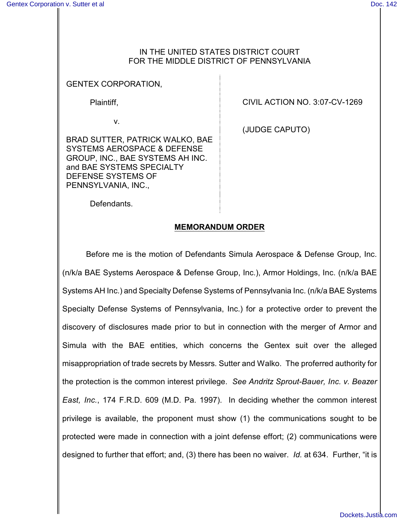## IN THE UNITED STATES DISTRICT COURT FOR THE MIDDLE DISTRICT OF PENNSYLVANIA

## GENTEX CORPORATION,

Plaintiff,

v.

BRAD SUTTER, PATRICK WALKO, BAE SYSTEMS AEROSPACE & DEFENSE GROUP, INC., BAE SYSTEMS AH INC. and BAE SYSTEMS SPECIALTY DEFENSE SYSTEMS OF PENNSYLVANIA, INC.,

CIVIL ACTION NO. 3:07-CV-1269

(JUDGE CAPUTO)

Defendants.

## **MEMORANDUM ORDER**

Before me is the motion of Defendants Simula Aerospace & Defense Group, Inc. (n/k/a BAE Systems Aerospace & Defense Group, Inc.), Armor Holdings, Inc. (n/k/a BAE Systems AH Inc.) and Specialty Defense Systems of Pennsylvania Inc. (n/k/a BAE Systems Specialty Defense Systems of Pennsylvania, Inc.) for a protective order to prevent the discovery of disclosures made prior to but in connection with the merger of Armor and Simula with the BAE entities, which concerns the Gentex suit over the alleged misappropriation of trade secrets by Messrs. Sutter and Walko. The proferred authority for the protection is the common interest privilege. *See Andritz Sprout-Bauer, Inc. v. Beazer East, Inc.*, 174 F.R.D. 609 (M.D. Pa. 1997). In deciding whether the common interest privilege is available, the proponent must show (1) the communications sought to be protected were made in connection with a joint defense effort; (2) communications were designed to further that effort; and, (3) there has been no waiver. *Id.* at 634. Further, "it is